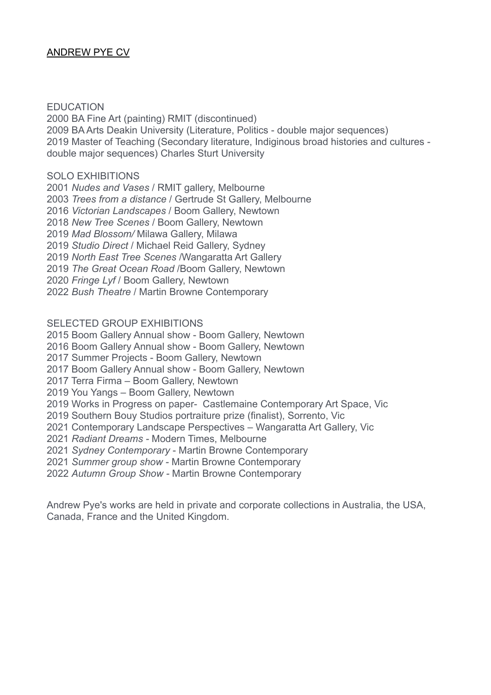# ANDREW PYE CV

#### EDUCATION

2000 BA Fine Art (painting) RMIT (discontinued) 2009 BA Arts Deakin University (Literature, Politics - double major sequences) 2019 Master of Teaching (Secondary literature, Indiginous broad histories and cultures double major sequences) Charles Sturt University

#### SOLO EXHIBITIONS

*Nudes and Vases* / RMIT gallery, Melbourne *Trees from a distance* / Gertrude St Gallery, Melbourne *Victorian Landscapes* / Boom Gallery, Newtown *New Tree Scenes* / Boom Gallery, Newtown *Mad Blossom/* Milawa Gallery, Milawa *Studio Direct* / Michael Reid Gallery, Sydney *North East Tree Scenes* /Wangaratta Art Gallery *The Great Ocean Road* /Boom Gallery, Newtown *Fringe Lyf* / Boom Gallery, Newtown *Bush Theatre* / Martin Browne Contemporary

SELECTED GROUP EXHIBITIONS

2015 Boom Gallery Annual show - Boom Gallery, Newtown

2016 Boom Gallery Annual show - Boom Gallery, Newtown

2017 Summer Projects - Boom Gallery, Newtown

2017 Boom Gallery Annual show - Boom Gallery, Newtown

2017 Terra Firma – Boom Gallery, Newtown

2019 You Yangs – Boom Gallery, Newtown

2019 Works in Progress on paper- Castlemaine Contemporary Art Space, Vic

2019 Southern Bouy Studios portraiture prize (finalist), Sorrento, Vic

2021 Contemporary Landscape Perspectives – Wangaratta Art Gallery, Vic

2021 *Radiant Dreams -* Modern Times, Melbourne

2021 *Sydney Contemporary* - Martin Browne Contemporary

2021 *Summer group show -* Martin Browne Contemporary

2022 *Autumn Group Show -* Martin Browne Contemporary

Andrew Pye's works are held in private and corporate collections in Australia, the USA, Canada, France and the United Kingdom.